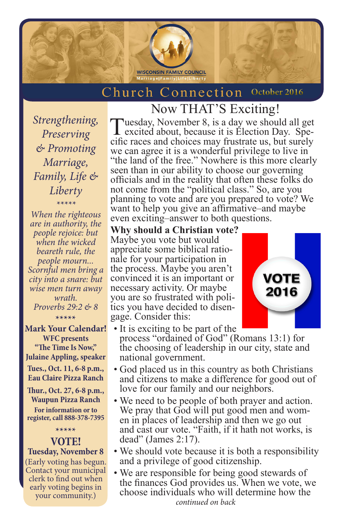

## **Church Connection October 2016**

*Strengthening, Preserving & Promoting Marriage, Family, Life & Liberty*

*\*\*\*\*\* When the righteous are in authority, the people rejoice: but when the wicked beareth rule, the people mourn... Scornful men bring a city into a snare: but wise men turn away wrath. Proverbs 29:2 & 8*

**\*\*\*\*\* Mark Your Calendar! WFC presents "The Time Is Now," Julaine Appling, speaker Tues., Oct. 11, 6-8 p.m., Eau Claire Pizza Ranch**

**Thur., Oct. 27, 6-8 p.m., Waupun Pizza Ranch For information or to register, call 888-378-7395**

**\*\*\*\*\***

**VOTE! Tuesday, November 8** (Early voting has begun. Contact your municipal clerk to find out when early voting begins in your community.)

Now THAT'S Exciting! Tuesday, November 8, is a day we should all get cific races and choices may frustrate us, but surely we can agree it is a wonderful privilege to live in "the land of the free." Nowhere is this more clearly seen than in our ability to choose our governing officials and in the reality that often these folks do not come from the "political class." So, are you planning to vote and are you prepared to vote? We want to help you give an affirmative–and maybe even exciting–answer to both questions.

**Why should a Christian vote?** Maybe you vote but would appreciate some biblical ratio- nale for your participation in the process. Maybe you aren't convinced it is an important or necessary activity. Or maybe you are so frustrated with politics you have decided to disengage. Consider this:



- It is exciting to be part of the process "ordained of God" (Romans 13:1) for the choosing of leadership in our city, state and national government.
- God placed us in this country as both Christians and citizens to make a difference for good out of love for our family and our neighbors.
- We need to be people of both prayer and action. We pray that God will put good men and wom-<br>en in places of leadership and then we go out and cast our vote. "Faith, if it hath not works, is dead" (James 2:17).
- We should vote because it is both a responsibility and a privilege of good citizenship.
- We are responsible for being good stewards of the finances God provides us. When we vote, we choose individuals who will determine how the *continued on back*